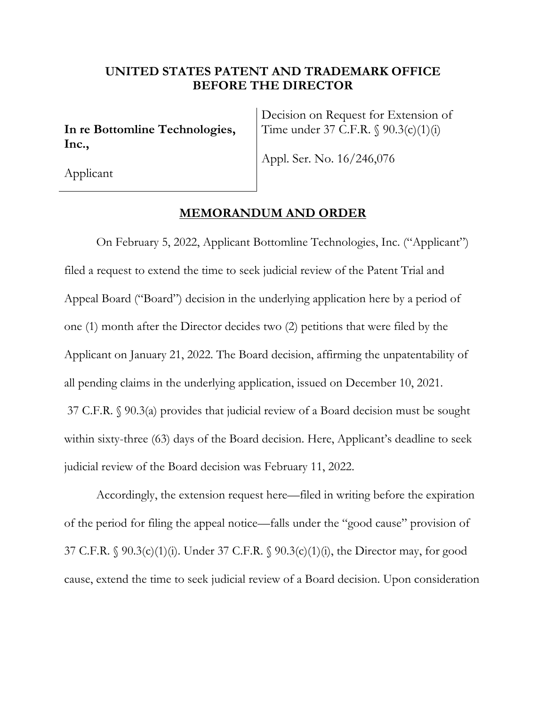## **UNITED STATES PATENT AND TRADEMARK OFFICE BEFORE THE DIRECTOR**

**In re Bottomline Technologies, Inc.,** 

Decision on Request for Extension of Time under 37 C.F.R. § 90.3(c)(1)(i)

Appl. Ser. No. 16/246,076

Applicant

## **MEMORANDUM AND ORDER**

On February 5, 2022, Applicant Bottomline Technologies, Inc. ("Applicant") filed a request to extend the time to seek judicial review of the Patent Trial and Appeal Board ("Board") decision in the underlying application here by a period of one (1) month after the Director decides two (2) petitions that were filed by the Applicant on January 21, 2022. The Board decision, affirming the unpatentability of all pending claims in the underlying application, issued on December 10, 2021. 37 C.F.R. § 90.3(a) provides that judicial review of a Board decision must be sought within sixty-three (63) days of the Board decision. Here, Applicant's deadline to seek judicial review of the Board decision was February 11, 2022.

Accordingly, the extension request here—filed in writing before the expiration of the period for filing the appeal notice—falls under the "good cause" provision of 37 C.F.R. § 90.3(c)(1)(i). Under 37 C.F.R. § 90.3(c)(1)(i), the Director may, for good cause, extend the time to seek judicial review of a Board decision. Upon consideration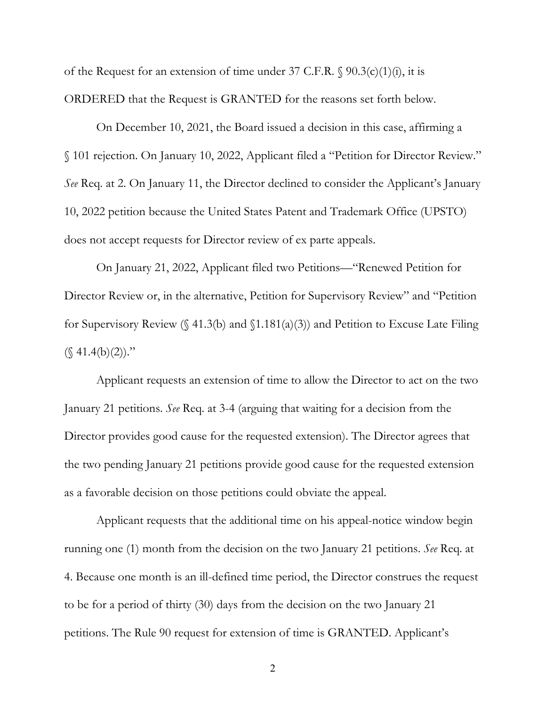of the Request for an extension of time under 37 C.F.R.  $\$90.3(c)(1)(i)$ , it is ORDERED that the Request is GRANTED for the reasons set forth below.

On December 10, 2021, the Board issued a decision in this case, affirming a § 101 rejection. On January 10, 2022, Applicant filed a "Petition for Director Review." *See* Req. at 2. On January 11, the Director declined to consider the Applicant's January 10, 2022 petition because the United States Patent and Trademark Office (UPSTO) does not accept requests for Director review of ex parte appeals.

On January 21, 2022, Applicant filed two Petitions—"Renewed Petition for Director Review or, in the alternative, Petition for Supervisory Review" and "Petition for Supervisory Review  $(\S 41.3(b)$  and  $\S 1.181(a)(3))$  and Petition to Excuse Late Filing  $(\S$  41.4(b)(2))."

Applicant requests an extension of time to allow the Director to act on the two January 21 petitions. *See* Req. at 3-4 (arguing that waiting for a decision from the Director provides good cause for the requested extension). The Director agrees that the two pending January 21 petitions provide good cause for the requested extension as a favorable decision on those petitions could obviate the appeal.

Applicant requests that the additional time on his appeal-notice window begin running one (1) month from the decision on the two January 21 petitions. *See* Req. at 4. Because one month is an ill-defined time period, the Director construes the request to be for a period of thirty (30) days from the decision on the two January 21 petitions. The Rule 90 request for extension of time is GRANTED. Applicant's

2